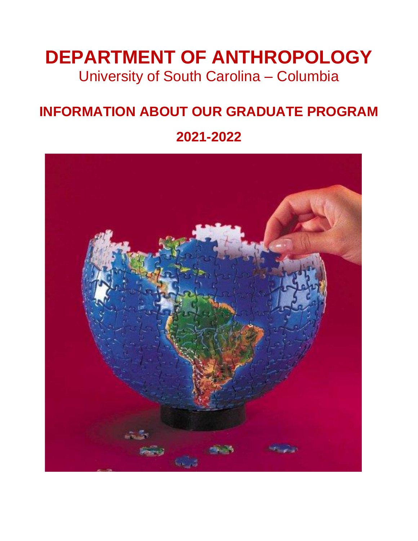# **DEPARTMENT OF ANTHROPOLOGY** University of South Carolina – Columbia

## **INFORMATION ABOUT OUR GRADUATE PROGRAM**

## **2021-2022**

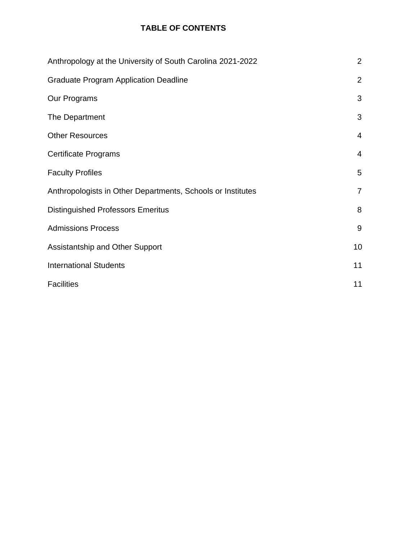## **TABLE OF CONTENTS**

| Anthropology at the University of South Carolina 2021-2022  | $\overline{2}$ |
|-------------------------------------------------------------|----------------|
| <b>Graduate Program Application Deadline</b>                | $\overline{2}$ |
| Our Programs                                                | 3              |
| The Department                                              | 3              |
| <b>Other Resources</b>                                      | $\overline{4}$ |
| <b>Certificate Programs</b>                                 | $\overline{4}$ |
| <b>Faculty Profiles</b>                                     | 5              |
| Anthropologists in Other Departments, Schools or Institutes | $\overline{7}$ |
| <b>Distinguished Professors Emeritus</b>                    | 8              |
| <b>Admissions Process</b>                                   | 9              |
| Assistantship and Other Support                             | 10             |
| <b>International Students</b>                               | 11             |
| <b>Facilities</b>                                           | 11             |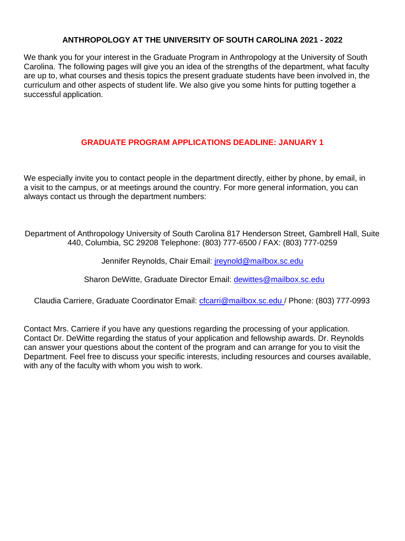## **ANTHROPOLOGY AT THE UNIVERSITY OF SOUTH CAROLINA 2021 - 2022**

We thank you for your interest in the Graduate Program in Anthropology at the University of South Carolina. The following pages will give you an idea of the strengths of the department, what faculty are up to, what courses and thesis topics the present graduate students have been involved in, the curriculum and other aspects of student life. We also give you some hints for putting together a successful application.

## **GRADUATE PROGRAM APPLICATIONS DEADLINE: JANUARY 1**

We especially invite you to contact people in the department directly, either by phone, by email, in a visit to the campus, or at meetings around the country. For more general information, you can always contact us through the department numbers:

Department of Anthropology University of South Carolina 817 Henderson Street, Gambrell Hall, Suite 440, Columbia, SC 29208 Telephone: (803) 777-6500 / FAX: (803) 777-0259

Jennifer Reynolds, Chair Email: *[jreynold@mailbox.sc.edu](mailto:jreynold@mailbox.sc.edu)* 

Sharon DeWitte, Graduate Director Email: [dewittes@mailbox.sc.edu](mailto:dewittes@mailbox.sc.edu)

Claudia Carriere, Graduate Coordinator Email: cfcarri@mailbox.sc.edu / Phone: (803) 777-0993

Contact Mrs. Carriere if you have any questions regarding the processing of your application. Contact Dr. DeWitte regarding the status of your application and fellowship awards. Dr. Reynolds can answer your questions about the content of the program and can arrange for you to visit the Department. Feel free to discuss your specific interests, including resources and courses available, with any of the faculty with whom you wish to work.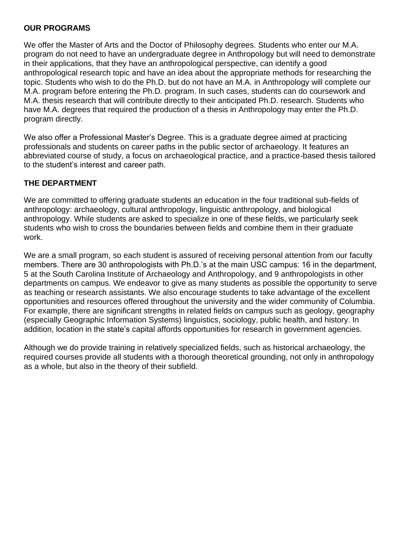## **OUR PROGRAMS**

We offer the Master of Arts and the Doctor of Philosophy degrees. Students who enter our M.A. program do not need to have an undergraduate degree in Anthropology but will need to demonstrate in their applications, that they have an anthropological perspective, can identify a good anthropological research topic and have an idea about the appropriate methods for researching the topic. Students who wish to do the Ph.D. but do not have an M.A. in Anthropology will complete our M.A. program before entering the Ph.D. program. In such cases, students can do coursework and M.A. thesis research that will contribute directly to their anticipated Ph.D. research. Students who have M.A. degrees that required the production of a thesis in Anthropology may enter the Ph.D. program directly.

We also offer a Professional Master's Degree. This is a graduate degree aimed at practicing professionals and students on career paths in the public sector of archaeology. It features an abbreviated course of study, a focus on archaeological practice, and a practice-based thesis tailored to the student's interest and career path.

## **THE DEPARTMENT**

We are committed to offering graduate students an education in the four traditional sub-fields of anthropology: archaeology, cultural anthropology, linguistic anthropology, and biological anthropology. While students are asked to specialize in one of these fields, we particularly seek students who wish to cross the boundaries between fields and combine them in their graduate work.

We are a small program, so each student is assured of receiving personal attention from our faculty members. There are 30 anthropologists with Ph.D.'s at the main USC campus: 16 in the department, 5 at the South Carolina Institute of Archaeology and Anthropology, and 9 anthropologists in other departments on campus. We endeavor to give as many students as possible the opportunity to serve as teaching or research assistants. We also encourage students to take advantage of the excellent opportunities and resources offered throughout the university and the wider community of Columbia. For example, there are significant strengths in related fields on campus such as geology, geography (especially Geographic Information Systems) linguistics, sociology, public health, and history. In addition, location in the state's capital affords opportunities for research in government agencies.

Although we do provide training in relatively specialized fields, such as historical archaeology, the required courses provide all students with a thorough theoretical grounding, not only in anthropology as a whole, but also in the theory of their subfield.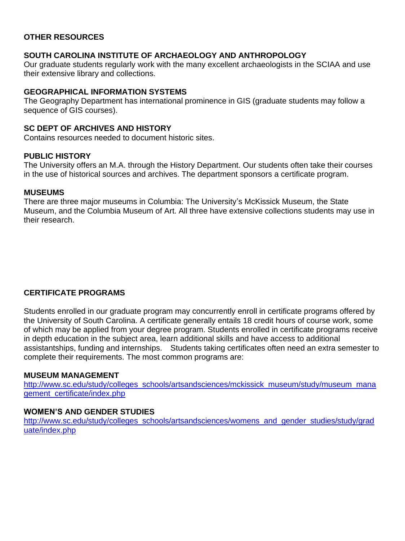## **OTHER RESOURCES**

#### **SOUTH CAROLINA INSTITUTE OF ARCHAEOLOGY AND ANTHROPOLOGY**

Our graduate students regularly work with the many excellent archaeologists in the SCIAA and use their extensive library and collections.

#### **GEOGRAPHICAL INFORMATION SYSTEMS**

The Geography Department has international prominence in GIS (graduate students may follow a sequence of GIS courses).

### **SC DEPT OF ARCHIVES AND HISTORY**

Contains resources needed to document historic sites.

#### **PUBLIC HISTORY**

The University offers an M.A. through the History Department. Our students often take their courses in the use of historical sources and archives. The department sponsors a certificate program.

#### **MUSEUMS**

There are three major museums in Columbia: The University's McKissick Museum, the State Museum, and the Columbia Museum of Art. All three have extensive collections students may use in their research.

#### **CERTIFICATE PROGRAMS**

Students enrolled in our graduate program may concurrently enroll in certificate programs offered by the University of South Carolina. A certificate generally entails 18 credit hours of course work, some of which may be applied from your degree program. Students enrolled in certificate programs receive in depth education in the subject area, learn additional skills and have access to additional assistantships, funding and internships. Students taking certificates often need an extra semester to complete their requirements. The most common programs are:

#### **MUSEUM MANAGEMENT**

[http://www.sc.edu/study/colleges\\_schools/artsandsciences/mckissick\\_museum/study/museum\\_mana](http://www.sc.edu/study/colleges_schools/artsandsciences/mckissick_museum/study/museum_mana) [gement\\_certificate/index.php](http://www.sc.edu/study/colleges_schools/artsandsciences/mckissick_museum/study/museum_management_certificate/index.php)

#### **WOMEN'S AND GENDER STUDIES**

[http://www.sc.edu/study/colleges\\_schools/artsandsciences/womens\\_and\\_gender\\_studies/study/grad](http://www.sc.edu/study/colleges_schools/artsandsciences/womens_and_gender_studies/study/graduate/index.php) [uate/index.php](http://www.sc.edu/study/colleges_schools/artsandsciences/womens_and_gender_studies/study/graduate/index.php)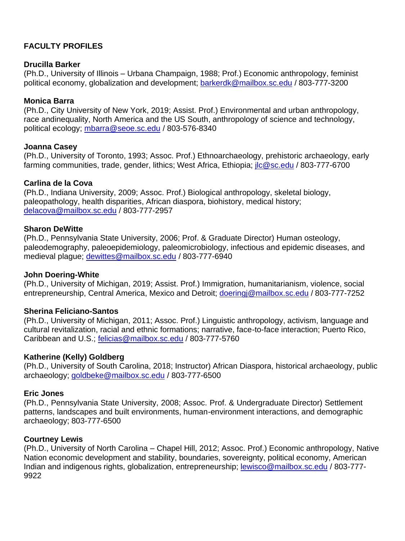## **FACULTY PROFILES**

## **Drucilla Barker**

(Ph.D., University of Illinois – Urbana Champaign, 1988; Prof.) Economic anthropology, feminist political economy, globalization and development; [barkerdk@mailbox.sc.edu](mailto:barkerdk@mailbox.sc.edu) / 803-777-3200

## **Monica Barra**

(Ph.D., City University of New York, 2019; Assist. Prof.) Environmental and urban anthropology, race andinequality, North America and the US South, anthropology of science and technology, political ecology; [mbarra@seoe.sc.edu](mailto:mbarra@seoe.sc.edu) / 803-576-8340

### **Joanna Casey**

(Ph.D., University of Toronto, 1993; Assoc. Prof.) Ethnoarchaeology, prehistoric archaeology, early farming communities, trade, gender, lithics; West Africa, Ethiopia; *ilc@sc.edu* / 803-777-6700

### **Carlina de la Cova**

(Ph.D., Indiana University, 2009; Assoc. Prof.) Biological anthropology, skeletal biology, paleopathology, health disparities, African diaspora, biohistory, medical history; [delacova@mailbox.sc.edu](mailto:delacova@mailbox.sc.edu) / 803-777-2957

### **Sharon DeWitte**

(Ph.D., Pennsylvania State University, 2006; Prof. & Graduate Director) Human osteology, paleodemography, paleoepidemiology, paleomicrobiology, infectious and epidemic diseases, and medieval plague; [dewittes@mailbox.sc.edu](mailto:dewittes@mailbox.sc.edu) / 803-777-6940

## **John Doering-White**

(Ph.D., University of Michigan, 2019; Assist. Prof.) Immigration, humanitarianism, violence, social entrepreneurship, Central America, Mexico and Detroit; [doeringj@mailbox.sc.edu](mailto:doeringj@mailbox.sc.edu) / 803-777-7252

## **Sherina Feliciano-Santos**

(Ph.D., University of Michigan, 2011; Assoc. Prof.) Linguistic anthropology, activism, language and cultural revitalization, racial and ethnic formations; narrative, face-to-face interaction; Puerto Rico, Caribbean and U.S.; [felicias@mailbox.sc.edu](mailto:felicias@mailbox.sc.edu) / 803-777-5760

## **Katherine (Kelly) Goldberg**

(Ph.D., University of South Carolina, 2018; Instructor) African Diaspora, historical archaeology, public archaeology; [goldbeke@mailbox.sc.edu](mailto:goldbeke@mailbox.sc.edu) / 803-777-6500

## **Eric Jones**

(Ph.D., Pennsylvania State University, 2008; Assoc. Prof. & Undergraduate Director) Settlement patterns, landscapes and built environments, human-environment interactions, and demographic archaeology; 803-777-6500

## **Courtney Lewis**

(Ph.D., University of North Carolina – Chapel Hill, 2012; Assoc. Prof.) Economic anthropology, Native Nation economic development and stability, boundaries, sovereignty, political economy, American Indian and indigenous rights, globalization, entrepreneurship; [lewisco@mailbox.sc.edu](mailto:lewisco@mailbox.sc.edu) / 803-777- 9922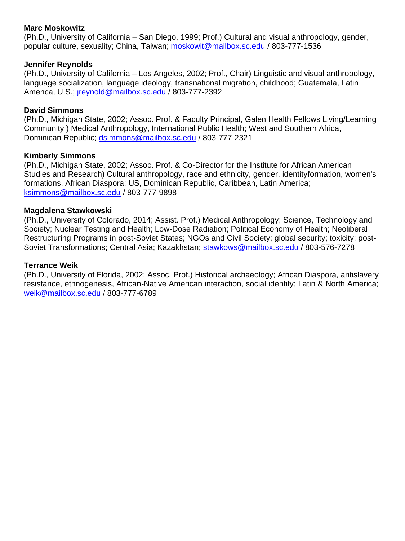## **Marc Moskowitz**

(Ph.D., University of California – San Diego, 1999; Prof.) Cultural and visual anthropology, gender, popular culture, sexuality; China, Taiwan; [moskowit@mailbox.sc.edu](mailto:moskowit@mailbox.sc.edu) / 803-777-1536

## **Jennifer Reynolds**

(Ph.D., University of California – Los Angeles, 2002; Prof., Chair) Linguistic and visual anthropology, language socialization, language ideology, transnational migration, childhood; Guatemala, Latin America, U.S.; ireynold@mailbox.sc.edu / 803-777-2392

### **David Simmons**

(Ph.D., Michigan State, 2002; Assoc. Prof. & Faculty Principal, Galen Health Fellows Living/Learning Community ) Medical Anthropology, International Public Health; West and Southern Africa, Dominican Republic; [dsimmons@mailbox.sc.edu](mailto:dsimmons@mailbox.sc.edu) / 803-777-2321

### **Kimberly Simmons**

(Ph.D., Michigan State, 2002; Assoc. Prof. & Co-Director for the Institute for African American Studies and Research) Cultural anthropology, race and ethnicity, gender, identityformation, women's formations, African Diaspora; US, Dominican Republic, Caribbean, Latin America; [ksimmons@mailbox.sc.edu](mailto:ksimmons@mailbox.sc.edu) / 803-777-9898

#### **Magdalena Stawkowski**

(Ph.D., University of Colorado, 2014; Assist. Prof.) Medical Anthropology; Science, Technology and Society; Nuclear Testing and Health; Low-Dose Radiation; Political Economy of Health; Neoliberal Restructuring Programs in post-Soviet States; NGOs and Civil Society; global security; toxicity; post-Soviet Transformations; Central Asia; Kazakhstan; [stawkows@mailbox.sc.edu](mailto:stawkows@mailbox.sc.edu) / 803-576-7278

### **Terrance Weik**

(Ph.D., University of Florida, 2002; Assoc. Prof.) Historical archaeology; African Diaspora, antislavery resistance, ethnogenesis, African-Native American interaction, social identity; Latin & North America; [weik@mailbox.sc.edu](mailto:weik@mailbox.sc.edu) / 803-777-6789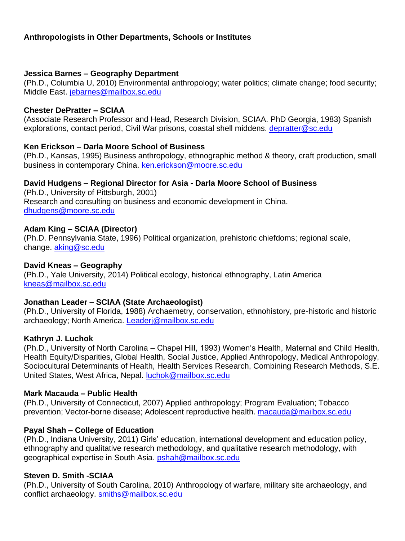## **Anthropologists in Other Departments, Schools or Institutes**

#### **Jessica Barnes – Geography Department**

(Ph.D., Columbia U, 2010) Environmental anthropology; water politics; climate change; food security; Middle East. [jebarnes@mailbox.sc.edu](mailto:jebarnes@mailbox.sc.edu)

#### **Chester DePratter – SCIAA**

(Associate Research Professor and Head, Research Division, SCIAA. PhD Georgia, 1983) Spanish explorations, contact period, Civil War prisons, coastal shell middens. [depratter@sc.edu](mailto:depratter@sc.edu)

#### **Ken Erickson – Darla Moore School of Business**

(Ph.D., Kansas, 1995) Business anthropology, ethnographic method & theory, craft production, small business in contemporary China. [ken.erickson@moore.sc.edu](mailto:ken.erickson@moore.sc.edu)

#### **David Hudgens – Regional Director for Asia - Darla Moore School of Business**

(Ph.D., University of Pittsburgh, 2001) Research and consulting on business and economic development in China. [dhudgens@moore.sc.edu](mailto:dhudgens@moore.sc.edu)

#### **Adam King – SCIAA (Director)**

(Ph.D. Pennsylvania State, 1996) Political organization, prehistoric chiefdoms; regional scale, change. [aking@sc.edu](mailto:aking@sc.edu)

#### **David Kneas – Geography**

(Ph.D., Yale University, 2014) Political ecology, historical ethnography, Latin America [kneas@mailbox.sc.edu](mailto:kneas@mailbox.sc.edu)

#### **Jonathan Leader – SCIAA (State Archaeologist)**

(Ph.D., University of Florida, 1988) Archaemetry, conservation, ethnohistory, pre-historic and historic archaeology; North America. [Leaderj@mailbox.sc.edu](mailto:Leaderj@mailbox.sc.edu)

#### **Kathryn J. Luchok**

(Ph.D., University of North Carolina – Chapel Hill, 1993) Women's Health, Maternal and Child Health, Health Equity/Disparities, Global Health, Social Justice, Applied Anthropology, Medical Anthropology, Sociocultural Determinants of Health, Health Services Research, Combining Research Methods, S.E. United States, West Africa, Nepal. [luchok@mailbox.sc.edu](mailto:luchok@mailbox.sc.edu)

#### **Mark Macauda – Public Health**

(Ph.D., University of Connecticut, 2007) Applied anthropology; Program Evaluation; Tobacco prevention; Vector-borne disease; Adolescent reproductive health. [macauda@mailbox.sc.edu](mailto:macauda@mailbox.sc.edu)

#### **Payal Shah – College of Education**

(Ph.D., Indiana University, 2011) Girls' education, international development and education policy, ethnography and qualitative research methodology, and qualitative research methodology, with geographical expertise in South Asia. [pshah@mailbox.sc.edu](mailto:pshah@mailbox.sc.edu)

#### **Steven D. Smith -SCIAA**

(Ph.D., University of South Carolina, 2010) Anthropology of warfare, military site archaeology, and conflict archaeology. [smiths@mailbox.sc.edu](mailto:smiths@mailbox.sc.edu)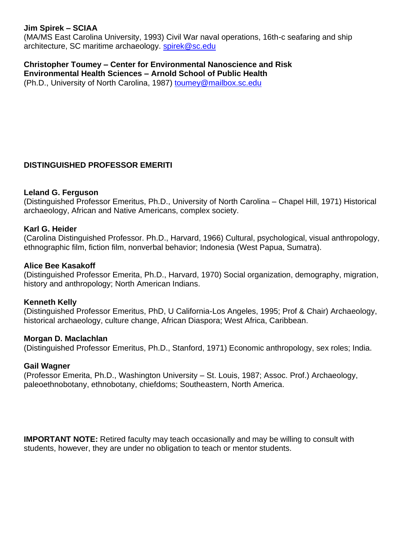## **Jim Spirek – SCIAA**

(MA/MS East Carolina University, 1993) Civil War naval operations, 16th-c seafaring and ship architecture, SC maritime archaeology, [spirek@sc.edu](mailto:spirek@sc.edu)

**Christopher Toumey – Center for Environmental Nanoscience and Risk Environmental Health Sciences – Arnold School of Public Health** (Ph.D., University of North Carolina, 1987) [toumey@mailbox.sc.edu](mailto:toumey@mailbox.sc.edu)

## **DISTINGUISHED PROFESSOR EMERITI**

#### **Leland G. Ferguson**

(Distinguished Professor Emeritus, Ph.D., University of North Carolina – Chapel Hill, 1971) Historical archaeology, African and Native Americans, complex society.

#### **Karl G. Heider**

(Carolina Distinguished Professor. Ph.D., Harvard, 1966) Cultural, psychological, visual anthropology, ethnographic film, fiction film, nonverbal behavior; Indonesia (West Papua, Sumatra).

#### **Alice Bee Kasakoff**

(Distinguished Professor Emerita, Ph.D., Harvard, 1970) Social organization, demography, migration, history and anthropology; North American Indians.

## **Kenneth Kelly**

(Distinguished Professor Emeritus, PhD, U California-Los Angeles, 1995; Prof & Chair) Archaeology, historical archaeology, culture change, African Diaspora; West Africa, Caribbean.

#### **Morgan D. Maclachlan**

(Distinguished Professor Emeritus, Ph.D., Stanford, 1971) Economic anthropology, sex roles; India.

#### **Gail Wagner**

(Professor Emerita, Ph.D., Washington University – St. Louis, 1987; Assoc. Prof.) Archaeology, paleoethnobotany, ethnobotany, chiefdoms; Southeastern, North America.

**IMPORTANT NOTE:** Retired faculty may teach occasionally and may be willing to consult with students, however, they are under no obligation to teach or mentor students.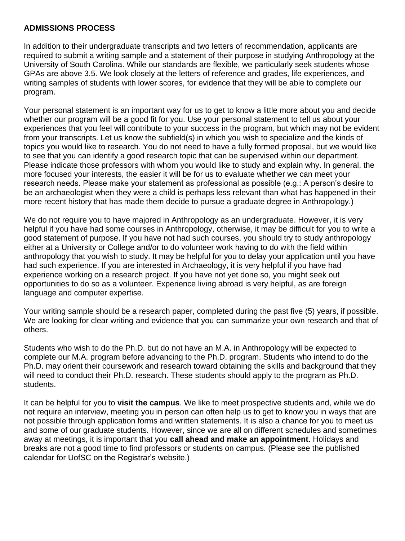## **ADMISSIONS PROCESS**

In addition to their undergraduate transcripts and two letters of recommendation, applicants are required to submit a writing sample and a statement of their purpose in studying Anthropology at the University of South Carolina. While our standards are flexible, we particularly seek students whose GPAs are above 3.5. We look closely at the letters of reference and grades, life experiences, and writing samples of students with lower scores, for evidence that they will be able to complete our program.

Your personal statement is an important way for us to get to know a little more about you and decide whether our program will be a good fit for you. Use your personal statement to tell us about your experiences that you feel will contribute to your success in the program, but which may not be evident from your transcripts. Let us know the subfield(s) in which you wish to specialize and the kinds of topics you would like to research. You do not need to have a fully formed proposal, but we would like to see that you can identify a good research topic that can be supervised within our department. Please indicate those professors with whom you would like to study and explain why. In general, the more focused your interests, the easier it will be for us to evaluate whether we can meet your research needs. Please make your statement as professional as possible (e.g.: A person's desire to be an archaeologist when they were a child is perhaps less relevant than what has happened in their more recent history that has made them decide to pursue a graduate degree in Anthropology.)

We do not require you to have majored in Anthropology as an undergraduate. However, it is very helpful if you have had some courses in Anthropology, otherwise, it may be difficult for you to write a good statement of purpose. If you have not had such courses, you should try to study anthropology either at a University or College and/or to do volunteer work having to do with the field within anthropology that you wish to study. It may be helpful for you to delay your application until you have had such experience. If you are interested in Archaeology, it is very helpful if you have had experience working on a research project. If you have not yet done so, you might seek out opportunities to do so as a volunteer. Experience living abroad is very helpful, as are foreign language and computer expertise.

Your writing sample should be a research paper, completed during the past five (5) years, if possible. We are looking for clear writing and evidence that you can summarize your own research and that of others.

Students who wish to do the Ph.D. but do not have an M.A. in Anthropology will be expected to complete our M.A. program before advancing to the Ph.D. program. Students who intend to do the Ph.D. may orient their coursework and research toward obtaining the skills and background that they will need to conduct their Ph.D. research. These students should apply to the program as Ph.D. students.

It can be helpful for you to **visit the campus**. We like to meet prospective students and, while we do not require an interview, meeting you in person can often help us to get to know you in ways that are not possible through application forms and written statements. It is also a chance for you to meet us and some of our graduate students. However, since we are all on different schedules and sometimes away at meetings, it is important that you **call ahead and make an appointment**. Holidays and breaks are not a good time to find professors or students on campus. (Please see the published calendar for UofSC on the Registrar's website.)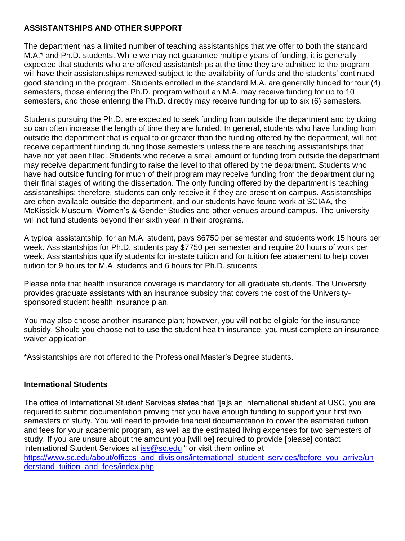## **ASSISTANTSHIPS AND OTHER SUPPORT**

The department has a limited number of teaching assistantships that we offer to both the standard M.A.\* and Ph.D. students. While we may not guarantee multiple years of funding, it is generally expected that students who are offered assistantships at the time they are admitted to the program will have their assistantships renewed subject to the availability of funds and the students' continued good standing in the program. Students enrolled in the standard M.A. are generally funded for four (4) semesters, those entering the Ph.D. program without an M.A. may receive funding for up to 10 semesters, and those entering the Ph.D. directly may receive funding for up to six (6) semesters.

Students pursuing the Ph.D. are expected to seek funding from outside the department and by doing so can often increase the length of time they are funded. In general, students who have funding from outside the department that is equal to or greater than the funding offered by the department, will not receive department funding during those semesters unless there are teaching assistantships that have not yet been filled. Students who receive a small amount of funding from outside the department may receive department funding to raise the level to that offered by the department. Students who have had outside funding for much of their program may receive funding from the department during their final stages of writing the dissertation. The only funding offered by the department is teaching assistantships; therefore, students can only receive it if they are present on campus. Assistantships are often available outside the department, and our students have found work at SCIAA, the McKissick Museum, Women's & Gender Studies and other venues around campus. The university will not fund students beyond their sixth year in their programs.

A typical assistantship, for an M.A. student, pays \$6750 per semester and students work 15 hours per week. Assistantships for Ph.D. students pay \$7750 per semester and require 20 hours of work per week. Assistantships qualify students for in-state tuition and for tuition fee abatement to help cover tuition for 9 hours for M.A. students and 6 hours for Ph.D. students.

Please note that health insurance coverage is mandatory for all graduate students. The University provides graduate assistants with an insurance subsidy that covers the cost of the Universitysponsored student health insurance plan.

You may also choose another insurance plan; however, you will not be eligible for the insurance subsidy. Should you choose not to use the student health insurance, you must complete an insurance waiver application.

\*Assistantships are not offered to the Professional Master's Degree students.

## **International Students**

The office of International Student Services states that "[a]s an international student at USC, you are required to submit documentation proving that you have enough funding to support your first two semesters of study. You will need to provide financial documentation to cover the estimated tuition and fees for your academic program, as well as the estimated living expenses for two semesters of study. If you are unsure about the amount you [will be] required to provide [please] contact International Student Services at [iss@sc.edu](mailto:iss@sc.edu) " or visit them online at [https://www.sc.edu/about/offices\\_and\\_divisions/international\\_student\\_services/before\\_you\\_arrive/un](https://www.sc.edu/about/offices_and_divisions/international_student_services/before_you_arrive/understand_tuition_and_fees/index.php) [derstand\\_tuition\\_and\\_fees/index.php](https://www.sc.edu/about/offices_and_divisions/international_student_services/before_you_arrive/understand_tuition_and_fees/index.php)